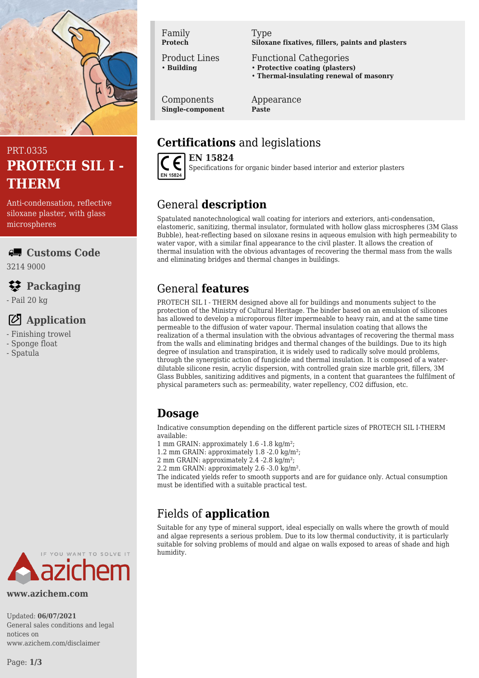

## PRT.0335 **PROTECH SIL I - THERM**

Anti-condensation, reflective siloxane plaster, with glass microspheres

#### **Customs Code**

3214 9000

### **Packaging**

- Pail 20 kg

## **Application**

- Finishing trowel

- Sponge float
- Spatula



**www.azichem.com**

Updated: **06/07/2021** General sales conditions and legal notices on www.azichem.com/disclaimer

Page: **1/3**

Family **Protech**

Product Lines • **Building**

Components **Single-component** Type **Siloxane fixatives, fillers, paints and plasters**

- Functional Cathegories
- **Protective coating (plasters)**
- **Thermal-insulating renewal of masonry**

Appearance **Paste**

# **Certifications** and legislations



**EN 15824** Specifications for organic binder based interior and exterior plasters

# General **description**

Spatulated nanotechnological wall coating for interiors and exteriors, anti-condensation, elastomeric, sanitizing, thermal insulator, formulated with hollow glass microspheres (3M Glass Bubble), heat-reflecting based on siloxane resins in aqueous emulsion with high permeability to water vapor, with a similar final appearance to the civil plaster. It allows the creation of thermal insulation with the obvious advantages of recovering the thermal mass from the walls and eliminating bridges and thermal changes in buildings.

## General **features**

PROTECH SIL I - THERM designed above all for buildings and monuments subject to the protection of the Ministry of Cultural Heritage. The binder based on an emulsion of silicones has allowed to develop a microporous filter impermeable to heavy rain, and at the same time permeable to the diffusion of water vapour. Thermal insulation coating that allows the realization of a thermal insulation with the obvious advantages of recovering the thermal mass from the walls and eliminating bridges and thermal changes of the buildings. Due to its high degree of insulation and transpiration, it is widely used to radically solve mould problems, through the synergistic action of fungicide and thermal insulation. It is composed of a waterdilutable silicone resin, acrylic dispersion, with controlled grain size marble grit, fillers, 3M Glass Bubbles, sanitizing additives and pigments, in a content that guarantees the fulfilment of physical parameters such as: permeability, water repellency, CO2 diffusion, etc.

## **Dosage**

Indicative consumption depending on the different particle sizes of PROTECH SIL I-THERM available:

1 mm GRAIN: approximately 1.6 -1.8 kg/m²;

1.2 mm GRAIN: approximately 1.8 -2.0 kg/m²;

2 mm GRAIN: approximately 2.4 -2.8 kg/m²;

2.2 mm GRAIN: approximately 2.6 -3.0 kg/m².

The indicated yields refer to smooth supports and are for guidance only. Actual consumption must be identified with a suitable practical test.

# Fields of **application**

Suitable for any type of mineral support, ideal especially on walls where the growth of mould and algae represents a serious problem. Due to its low thermal conductivity, it is particularly suitable for solving problems of mould and algae on walls exposed to areas of shade and high humidity.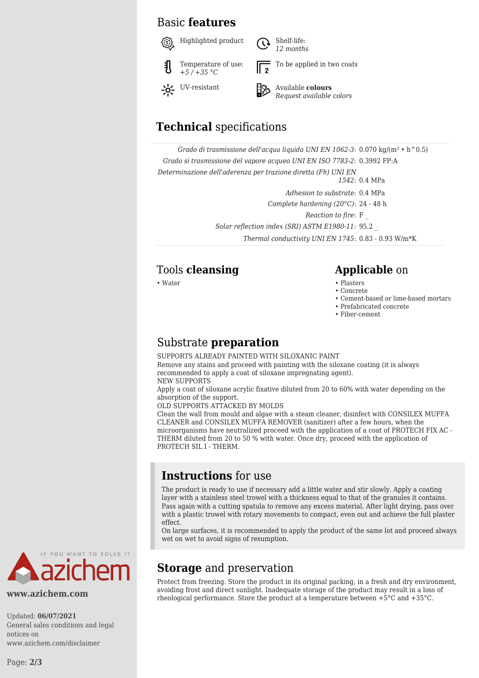#### Basic **features**



*12 months* To be applied in two coats



## *Request available colors*

## **Technical** specifications

*Grado di trasmissione dell'acqua liquida UNI EN 1062-3*: 0.070 kg/(m² • h^0.5) *Grado si trasmissione del vapore acqueo UNI EN ISO 7783-2*: 0.3992 FP:A *Determinazione dell'aderenza per trazione diretta (Fh) UNI EN 1542*: 0.4 MPa

*Adhesion to substrate*: 0.4 MPa

*Complete hardening (20°C)*: 24 - 48 h

*Reaction to fire*: F \_

*Solar reflection index (SRI) ASTM E1980-11*: 95.2 \_

*Thermal conductivity UNI EN 1745*: 0.83 - 0.93 W/m\*K

#### Tools **cleansing Applicable** on

• Water • Plasters

- Concrete
- Cement-based or lime-based mortars
- Prefabricated concrete
- Fiber-cement

#### Substrate **preparation**

SUPPORTS ALREADY PAINTED WITH SILOXANIC PAINT Remove any stains and proceed with painting with the siloxane coating (it is always recommended to apply a coat of siloxane impregnating agent). NEW SUPPORTS

Apply a coat of siloxane acrylic fixative diluted from 20 to 60% with water depending on the absorption of the support.

OLD SUPPORTS ATTACKED BY MOLDS

Clean the wall from mould and algae with a steam cleaner, disinfect with CONSILEX MUFFA CLEANER and CONSILEX MUFFA REMOVER (sanitizer) after a few hours, when the microorganisms have neutralized proceed with the application of a coat of PROTECH FIX AC - THERM diluted from 20 to 50 % with water. Once dry, proceed with the application of PROTECH SIL I - THERM.

#### **Instructions** for use

The product is ready to use if necessary add a little water and stir slowly. Apply a coating layer with a stainless steel trowel with a thickness equal to that of the granules it contains. Pass again with a cutting spatula to remove any excess material. After light drying, pass over with a plastic trowel with rotary movements to compact, even out and achieve the full plaster effect.

On large surfaces, it is recommended to apply the product of the same lot and proceed always wet on wet to avoid signs of resumption.



**www.azichem.com**

Updated: **06/07/2021** General sales conditions and legal notices on www.azichem.com/disclaimer

## **Storage** and preservation

Protect from freezing. Store the product in its original packing, in a fresh and dry environment, avoiding frost and direct sunlight. Inadequate storage of the product may result in a loss of rheological performance. Store the product at a temperature between +5°C and +35°C.